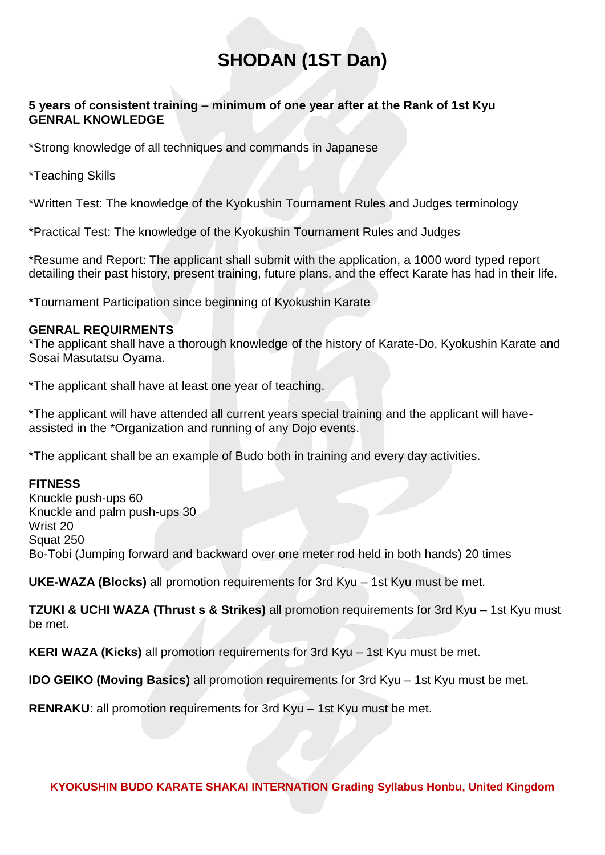# **SHODAN (1ST Dan)**

#### **5 years of consistent training – minimum of one year after at the Rank of 1st Kyu GENRAL KNOWLEDGE**

\*Strong knowledge of all techniques and commands in Japanese

\*Teaching Skills

\*Written Test: The knowledge of the Kyokushin Tournament Rules and Judges terminology

\*Practical Test: The knowledge of the Kyokushin Tournament Rules and Judges

\*Resume and Report: The applicant shall submit with the application, a 1000 word typed report detailing their past history, present training, future plans, and the effect Karate has had in their life.

\*Tournament Participation since beginning of Kyokushin Karate

#### **GENRAL REQUIRMENTS**

\*The applicant shall have a thorough knowledge of the history of Karate-Do, Kyokushin Karate and Sosai Masutatsu Oyama.

\*The applicant shall have at least one year of teaching.

\*The applicant will have attended all current years special training and the applicant will haveassisted in the \*Organization and running of any Dojo events.

\*The applicant shall be an example of Budo both in training and every day activities.

## **FITNESS**

Knuckle push-ups 60 Knuckle and palm push-ups 30 Wrist 20 Squat 250 Bo-Tobi (Jumping forward and backward over one meter rod held in both hands) 20 times

**UKE-WAZA (Blocks)** all promotion requirements for 3rd Kyu – 1st Kyu must be met.

**TZUKI & UCHI WAZA (Thrust s & Strikes)** all promotion requirements for 3rd Kyu – 1st Kyu must be met.

**KERI WAZA (Kicks)** all promotion requirements for 3rd Kyu – 1st Kyu must be met.

**IDO GEIKO (Moving Basics)** all promotion requirements for 3rd Kyu – 1st Kyu must be met.

**RENRAKU:** all promotion requirements for 3rd Kyu – 1st Kyu must be met.

**KYOKUSHIN BUDO KARATE SHAKAI INTERNATION Grading Syllabus Honbu, United Kingdom**